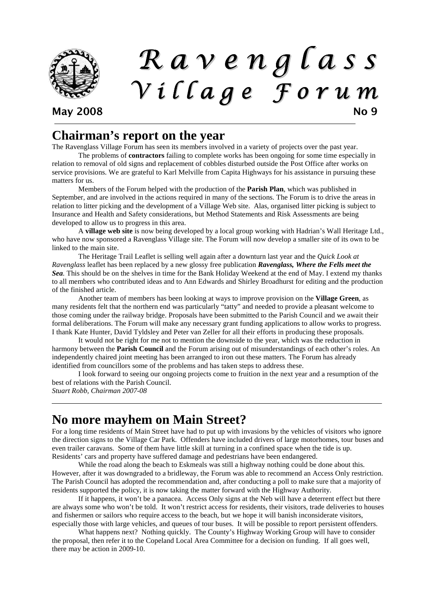

# R a v e n g l a s s V i l l a g e F o r u m May 2008 No 9

# **Chairman's report on the year**

The Ravenglass Village Forum has seen its members involved in a variety of projects over the past year.

The problems of **contractors** failing to complete works has been ongoing for some time especially in relation to removal of old signs and replacement of cobbles disturbed outside the Post Office after works on service provisions. We are grateful to Karl Melville from Capita Highways for his assistance in pursuing these matters for us.

 Members of the Forum helped with the production of the **Parish Plan**, which was published in September, and are involved in the actions required in many of the sections. The Forum is to drive the areas in relation to litter picking and the development of a Village Web site. Alas, organised litter picking is subject to Insurance and Health and Safety considerations, but Method Statements and Risk Assessments are being developed to allow us to progress in this area.

 A **village web site** is now being developed by a local group working with Hadrian's Wall Heritage Ltd., who have now sponsored a Ravenglass Village site. The Forum will now develop a smaller site of its own to be linked to the main site.

 The Heritage Trail Leaflet is selling well again after a downturn last year and the *Quick Look at Ravenglass* leaflet has been replaced by a new glossy free publication *Ravenglass, Where the Fells meet the Sea.* This should be on the shelves in time for the Bank Holiday Weekend at the end of May. I extend my thanks to all members who contributed ideas and to Ann Edwards and Shirley Broadhurst for editing and the production of the finished article.

 Another team of members has been looking at ways to improve provision on the **Village Green**, as many residents felt that the northern end was particularly "tatty" and needed to provide a pleasant welcome to those coming under the railway bridge. Proposals have been submitted to the Parish Council and we await their formal deliberations. The Forum will make any necessary grant funding applications to allow works to progress. I thank Kate Hunter, David Tyldsley and Peter van Zeller for all their efforts in producing these proposals.

 It would not be right for me not to mention the downside to the year, which was the reduction in harmony between the **Parish Council** and the Forum arising out of misunderstandings of each other's roles. An independently chaired joint meeting has been arranged to iron out these matters. The Forum has already identified from councillors some of the problems and has taken steps to address these.

 I look forward to seeing our ongoing projects come to fruition in the next year and a resumption of the best of relations with the Parish Council.

*Stuart Robb, Chairman 2007-08* 

## **No more mayhem on Main Street?**

For a long time residents of Main Street have had to put up with invasions by the vehicles of visitors who ignore the direction signs to the Village Car Park. Offenders have included drivers of large motorhomes, tour buses and even trailer caravans. Some of them have little skill at turning in a confined space when the tide is up. Residents' cars and property have suffered damage and pedestrians have been endangered.

 While the road along the beach to Eskmeals was still a highway nothing could be done about this. However, after it was downgraded to a bridleway, the Forum was able to recommend an Access Only restriction. The Parish Council has adopted the recommendation and, after conducting a poll to make sure that a majority of residents supported the policy, it is now taking the matter forward with the Highway Authority.

 If it happens, it won't be a panacea. Access Only signs at the Neb will have a deterrent effect but there are always some who won't be told. It won't restrict access for residents, their visitors, trade deliveries to houses and fishermen or sailors who require access to the beach, but we hope it will banish inconsiderate visitors, especially those with large vehicles, and queues of tour buses. It will be possible to report persistent offenders.

 What happens next? Nothing quickly. The County's Highway Working Group will have to consider the proposal, then refer it to the Copeland Local Area Committee for a decision on funding. If all goes well, there may be action in 2009-10.